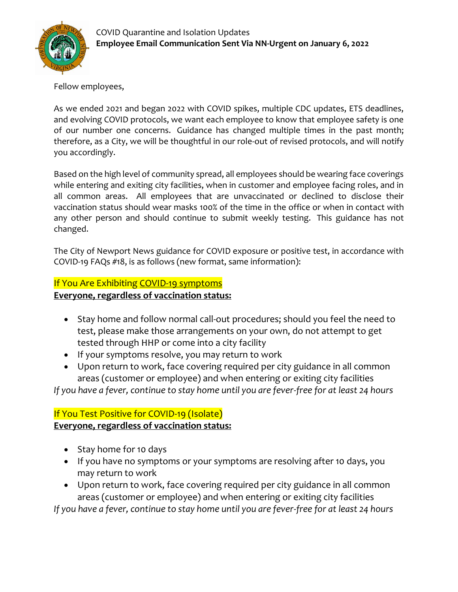

Fellow employees,

As we ended 2021 and began 2022 with COVID spikes, multiple CDC updates, ETS deadlines, and evolving COVID protocols, we want each employee to know that employee safety is one of our number one concerns. Guidance has changed multiple times in the past month; therefore, as a City, we will be thoughtful in our role-out of revised protocols, and will notify you accordingly.

Based on the high level of community spread, all employees should be wearing face coverings while entering and exiting city facilities, when in customer and employee facing roles, and in all common areas. All employees that are unvaccinated or declined to disclose their vaccination status should wear masks 100% of the time in the office or when in contact with any other person and should continue to submit weekly testing. This guidance has not changed.

The City of Newport News guidance for COVID exposure or positive test, in accordance with COVID-19 FAQs #18, is as follows (new format, same information):

## If You Are Exhibiting [COVID-19 symptoms](https://www.cdc.gov/coronavirus/2019-ncov/symptoms-testing/symptoms.html) **Everyone, regardless of vaccination status:**

- Stay home and follow normal call-out procedures; should you feel the need to test, please make those arrangements on your own, do not attempt to get tested through HHP or come into a city facility
- If your symptoms resolve, you may return to work
- Upon return to work, face covering required per city guidance in all common areas (customer or employee) and when entering or exiting city facilities

*If you have a fever, continue to stay home until you are fever-free for at least 24 hours*

# If You Test Positive for COVID-19 (Isolate)

#### **Everyone, regardless of vaccination status:**

- Stay home for 10 days
- If you have no symptoms or your symptoms are resolving after 10 days, you may return to work
- Upon return to work, face covering required per city guidance in all common areas (customer or employee) and when entering or exiting city facilities

*If you have a fever, continue to stay home until you are fever-free for at least 24 hours*